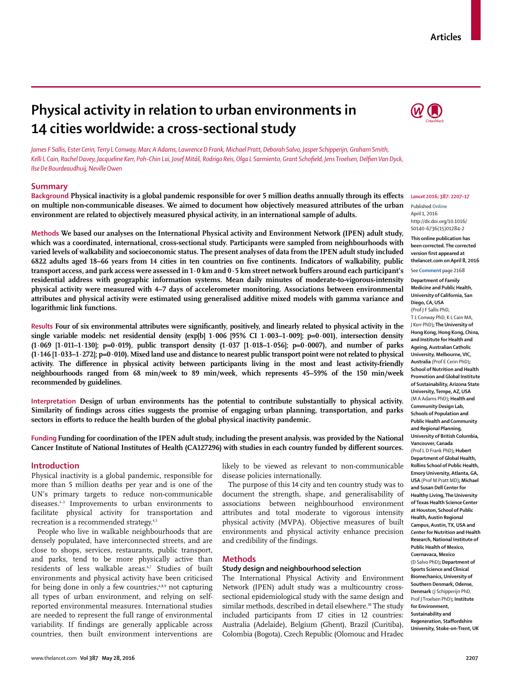# **Articles**

# **Physical activity in relation to urban environments in 14 cities worldwide: a cross-sectional study**



*James F Sallis, Ester Cerin, Terry L Conway, Marc A Adams, Lawrence D Frank, Michael Pratt, Deborah Salvo, Jasper Schipperijn, Graham Smith,*  Kelli L Cain, Rachel Davey, Jacqueline Kerr, Poh-Chin Lai, Josef Mitáš, Rodrigo Reis, Olga L Sarmiento, Grant Schofield, Jens Troelsen, Delfien Van Dyck, *Ilse De Bourdeaudhuij, Neville Owen*

## **Summary**

Background Physical inactivity is a global pandemic responsible for over 5 million deaths annually through its effects **on multiple non-communicable diseases. We aimed to document how objectively measured attributes of the urban environment are related to objectively measured physical activity, in an international sample of adults.**

**Methods We based our analyses on the International Physical activity and Environment Network (IPEN) adult study, which was a coordinated, international, cross-sectional study. Participants were sampled from neighbourhoods with varied levels of walkability and socioeconomic status. The present analyses of data from the IPEN adult study included**  6822 adults aged 18–66 years from 14 cities in ten countries on five continents. Indicators of walkability, public **transport** access, and park access were assessed in  $1 \cdot 0$  km and  $0 \cdot 5$  km street network buffers around each participant's **residential address with geographic information systems. Mean daily minutes of moderate-to-vigorous-intensity physical activity were measured with 4–7 days of accelerometer monitoring. Associations between environmental attributes and physical activity were estimated using generalised additive mixed models with gamma variance and logarithmic link functions.**

Results Four of six environmental attributes were significantly, positively, and linearly related to physical activity in the **single variable models: net residential density (exp[b] 1·006 [95% CI 1·003–1·009]; p=0·001), intersection density (1·069 [1·011–1·130]; p=0·019), public transport density (1·037 [1·018–1·056]; p=0·0007), and number of parks (1·146 [1·033–1·272]; p=0·010). Mixed land use and distance to nearest public transport point were not related to physical**  activity. The difference in physical activity between participants living in the most and least activity-friendly **neighbourhoods ranged from 68 min/week to 89 min/week, which represents 45–59% of the 150 min/week recommended by guidelines.**

**Interpretation Design of urban environments has the potential to contribute substantially to physical activity. Similarity of findings across cities suggests the promise of engaging urban planning, transportation, and parks**  sectors in efforts to reduce the health burden of the global physical inactivity pandemic.

**Funding Funding for coordination of the IPEN adult study, including the present analysis, was provided by the National**  Cancer Institute of National Institutes of Health (CA127296) with studies in each country funded by different sources.

#### **Introduction**

Physical inactivity is a global pandemic, responsible for more than 5 million deaths per year and is one of the UN's primary targets to reduce non-communicable diseases.<sup>1-3</sup> Improvements to urban environments to facilitate physical activity for transportation and recreation is a recommended strategy.4,5

People who live in walkable neighbourhoods that are densely populated, have interconnected streets, and are close to shops, services, restaurants, public transport, and parks, tend to be more physically active than residents of less walkable areas.<sup>6,7</sup> Studies of built environments and physical activity have been criticised for being done in only a few countries, $6,8,9$  not capturing all types of urban environment, and relying on selfreported environmental measures. International studies are needed to represent the full range of environmental variability. If findings are generally applicable across countries, then built environment interventions are likely to be viewed as relevant to non-communicable disease policies internationally.

The purpose of this 14 city and ten country study was to document the strength, shape, and generalisability of associations between neighbourhood environment attributes and total moderate to vigorous intensity physical activity (MVPA). Objective measures of built environments and physical activity enhance precision and credibility of the findings.

# **Methods**

#### **Study design and neighbourhood selection**

The International Physical Activity and Environment Network (IPEN) adult study was a multicountry crosssectional epidemiological study with the same design and similar methods, described in detail elsewhere.<sup>10</sup> The study included participants from 17 cities in 12 countries: Australia (Adelaide), Belgium (Ghent), Brazil (Curitiba), Colombia (Bogota), Czech Republic (Olomouc and Hradec

#### *Lancet* **2016; 387: 2207–17**

Published **Online** April 1, 2016 http://dx.doi.org/10.1016/ S0140-6736(15)01284-2

**This online publication has been corrected. The corrected version first appeared at thelancet.com on April 8, 2016**

See **Comment** page 2168

**Department of Family Medicine and Public Health, University of California, San Diego, CA, USA** (Prof J F Sallis PhD,

T L Conway PhD, K L Cain MA, J Kerr PhD)**; The University of Hong Kong, Hong Kong, China, and Institute for Health and Ageing, Australian Catholic University, Melbourne, VIC, Australia** (Prof E Cerin PhD)**; School of Nutrition and Health Promotion and Global Institute of Sustainability, Arizona State University, Tempe, AZ, USA**  (M A Adams PhD)**; Health and Community Design Lab, Schools of Population and Public Health and Community and Regional Planning, University of British Columbia, Vancouver, Canada** (Prof L D Frank PhD)**; Hubert Department of Global Health, Rollins School of Public Health, Emory University, Atlanta, GA, USA** (Prof M Pratt MD)**; Michael and Susan Dell Center for Healthy Living, The University of Texas Health Science Center at Houston, School of Public Health, Austin Regional Campus, Austin, TX, USA and Center for Nutrition and Health Research, National Institute of Public Health of Mexico, Cuernavaca, Mexico**  (D Salvo PhD)**; Department of Sports Science and Clinical Biomechanics, University of Southern Denmark, Odense, Denmark** (J Schipperijn PhD, Prof J Troelsen PhD)**; Institute for Environment, Sustainability and** 

**Regeneration, Staffordshire University, Stoke-on-Trent, UK**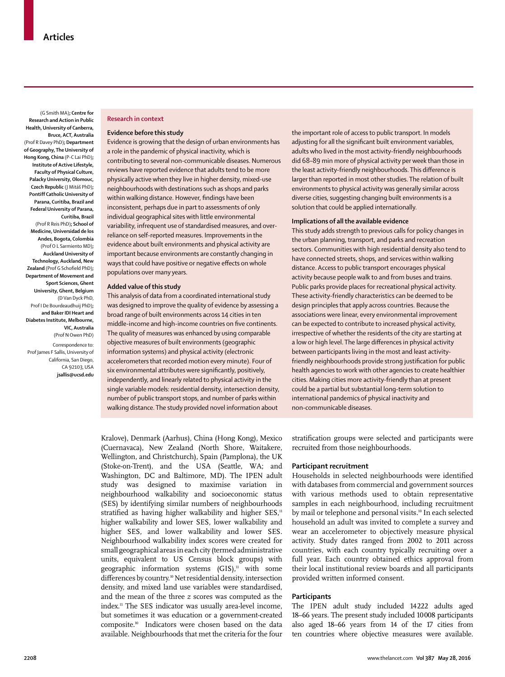(G Smith MA)**; Centre for Research and Action in Public Health, University of Canberra, Bruce, ACT, Australia**  (Prof R Davey PhD)**; Department of Geography, The University of Hong Kong, China** (P-C Lai PhD)**; Institute of Active Lifestyle, Faculty of Physical Culture, Palacky University, Olomouc, Czech Republic** (J Mitáš PhD)**; Pontiff Catholic University of Parana, Curitiba, Brazil and Federal University of Parana, Curitiba, Brazil** (Prof R Reis PhD)**; School of Medicine, Universidad de los Andes, Bogota, Colombia** (Prof O L Sarmiento MD)**; Auckland University of Technology, Auckland, New Zealand** (Prof G Schofield PhD)**; Department of Movement and Sport Sciences, Ghent University, Ghent, Belgium**  (D Van Dyck PhD, Prof I De Bourdeaudhuij PhD)**; and Baker IDI Heart and Diabetes Institute, Melbourne, VIC, Australia**  (Prof N Owen PhD)

Correspondence to: Prof James F Sallis, University of California, San Diego, CA 92103, USA **jsallis@ucsd.edu**

#### **Research in context**

#### **Evidence before this study**

Evidence is growing that the design of urban environments has a role in the pandemic of physical inactivity, which is contributing to several non-communicable diseases. Numerous reviews have reported evidence that adults tend to be more physically active when they live in higher density, mixed-use neighbourhoods with destinations such as shops and parks within walking distance. However, findings have been inconsistent, perhaps due in part to assessments of only individual geographical sites with little environmental variability, infrequent use of standardised measures, and overreliance on self-reported measures. Improvements in the evidence about built environments and physical activity are important because environments are constantly changing in ways that could have positive or negative effects on whole populations over many years.

#### **Added value of this study**

This analysis of data from a coordinated international study was designed to improve the quality of evidence by assessing a broad range of built environments across 14 cities in ten middle-income and high-income countries on five continents. The quality of measures was enhanced by using comparable objective measures of built environments (geographic information systems) and physical activity (electronic accelerometers that recorded motion every minute). Four of six environmental attributes were significantly, positively, independently, and linearly related to physical activity in the single variable models: residential density, intersection density, number of public transport stops, and number of parks within walking distance. The study provided novel information about

the important role of access to public transport. In models adjusting for all the significant built environment variables, adults who lived in the most activity-friendly neighbourhoods did 68–89 min more of physical activity per week than those in the least activity-friendly neighbourhoods. This difference is larger than reported in most other studies. The relation of built environments to physical activity was generally similar across diverse cities, suggesting changing built environments is a solution that could be applied internationally.

#### **Implications of all the available evidence**

This study adds strength to previous calls for policy changes in the urban planning, transport, and parks and recreation sectors. Communities with high residential density also tend to have connected streets, shops, and services within walking distance. Access to public transport encourages physical activity because people walk to and from buses and trains. Public parks provide places for recreational physical activity. These activity-friendly characteristics can be deemed to be design principles that apply across countries. Because the associations were linear, every environmental improvement can be expected to contribute to increased physical activity, irrespective of whether the residents of the city are starting at a low or high level. The large differences in physical activity between participants living in the most and least activityfriendly neighbourhoods provide strong justification for public health agencies to work with other agencies to create healthier cities. Making cities more activity-friendly than at present could be a partial but substantial long-term solution to international pandemics of physical inactivity and non-communicable diseases.

Kralove), Denmark (Aarhus), China (Hong Kong), Mexico (Cuernavaca), New Zealand (North Shore, Waitakere, Wellington, and Christchurch), Spain (Pamplona), the UK (Stoke-on-Trent), and the USA (Seattle, WA; and Washington, DC and Baltimore, MD). The IPEN adult study was designed to maximise variation in neighbourhood walkability and socioeconomic status (SES) by identifying similar numbers of neighbourhoods stratified as having higher walkability and higher  $SES$ ,<sup>11</sup> higher walkability and lower SES, lower walkability and higher SES, and lower walkability and lower SES. Neighbourhood walkability index scores were created for small geographical areas in each city (termed administrative units, equivalent to US Census block groups) with geographic information systems  $(GIS)^n$  with some differences by country.<sup>10</sup> Net residential density, intersection density, and mixed land use variables were standardised, and the mean of the three *z* scores was computed as the index.11 The SES indicator was usually area-level income, but sometimes it was education or a government-created composite.10 Indicators were chosen based on the data available. Neighbourhoods that met the criteria for the four

stratification groups were selected and participants were recruited from those neighbourhoods.

## **Participant recruitment**

Households in selected neighbourhoods were identified with databases from commercial and government sources with various methods used to obtain representative samples in each neighbourhood, including recruitment by mail or telephone and personal visits.<sup>10</sup> In each selected household an adult was invited to complete a survey and wear an accelerometer to objectively measure physical activity. Study dates ranged from 2002 to 2011 across countries, with each country typically recruiting over a full year. Each country obtained ethics approval from their local institutional review boards and all participants provided written informed consent.

## **Participants**

The IPEN adult study included 14 222 adults aged 18–66 years. The present study included 10 008 participants also aged 18–66 years from 14 of the 17 cities from ten countries where objective measures were available.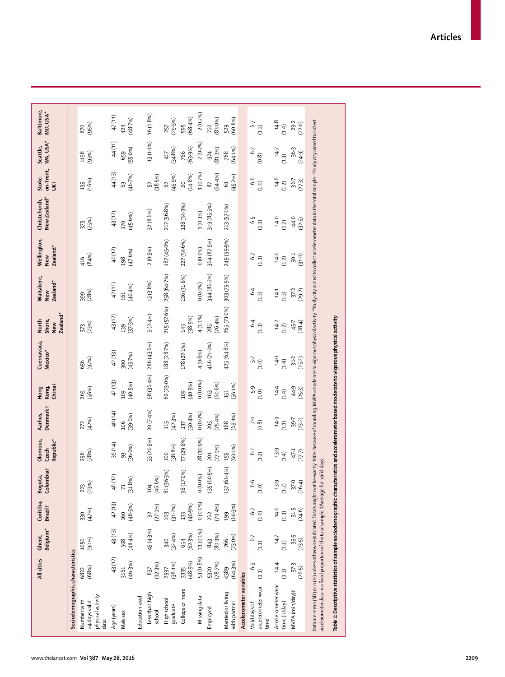|                                                                                                                                                                                                                                                                                                                          | All cities                  | Belgium <sup>*</sup><br>Ghent, | Curitiba,<br>Brazil <sup>+</sup> | Colombiat<br>Bogota,        | Olomouc,<br>Republic*<br>Czech | Denmark <sup>†</sup><br>Aarhus, | China†<br>Kong,<br>Hong | Cuernavaca,<br>Mexico* | Zealand*<br>Shore,<br>North<br>New | Waitakere,<br>Zealand*<br>New | Wellington,<br>Zealand*<br><b>New</b> | Christchurch,<br>New Zealand* | on-Trent,<br>Stoke-<br><b>Likt</b> | WA, USA*<br>Seattle, | Baltimore,<br>MD, USA* |
|--------------------------------------------------------------------------------------------------------------------------------------------------------------------------------------------------------------------------------------------------------------------------------------------------------------------------|-----------------------------|--------------------------------|----------------------------------|-----------------------------|--------------------------------|---------------------------------|-------------------------|------------------------|------------------------------------|-------------------------------|---------------------------------------|-------------------------------|------------------------------------|----------------------|------------------------|
| Sociodemographic characteristics                                                                                                                                                                                                                                                                                         |                             |                                |                                  |                             |                                |                                 |                         |                        |                                    |                               |                                       |                               |                                    |                      |                        |
| physical activity<br>Numberwith<br>>4 days valid<br>data                                                                                                                                                                                                                                                                 | (68%)<br>6822               | (90%)<br>1050                  | (47%)<br>330                     | (23%)<br>223                | (78%)<br>258                   | (42%)<br>272                    | (56%)<br>269            | (97%)<br>656           | (73%)<br>373                       | (78%)<br>399                  | (84%)<br>416                          | (75%)<br>373                  | (16%)<br>135                       | (93%)<br>1198        | (95%)<br>870           |
| Age (years)                                                                                                                                                                                                                                                                                                              | 43(12)                      | 43(13)                         | 42(13)                           | 46(12)                      | 39 (14)                        | 40 (14)                         | 42(13)                  | 42(13)                 | 43(12)                             | 42(11)                        | 40(12)                                | 43(12)                        | 44(13)                             | 44(11)               | $47\left(11\right)$    |
| Male sex                                                                                                                                                                                                                                                                                                                 | (46.3%)<br>3161             | (48.4%)<br>508                 | (48.5%)<br>160                   | (31.8%)<br>$\overline{\pi}$ | (36.0%)<br>93                  | (39.0%<br>106                   | (40.5%)<br>109          | (45.7%)<br>300         | (37.3%)<br>139                     | (40.4%<br>161                 | (47.6%)<br>198                        | (45.6%)<br>170                | (46.7%<br>G3                       | $(55.0\%)$<br>659    | (48.7%)<br>424         |
| Education level                                                                                                                                                                                                                                                                                                          |                             |                                |                                  |                             |                                |                                 |                         |                        |                                    |                               |                                       |                               |                                    |                      |                        |
| Less than high<br>school                                                                                                                                                                                                                                                                                                 | (12.3%)<br>837              | 45(4-3%)                       | (27.9%)<br>$\overline{92}$       | (46.6%)<br>104              | 53 (20.5%)                     | 20 (7.4%)                       | 98 (36-4%)              | 286 (43.6%)            | 9(2.4%)                            | 15 (3.8%)                     | 2(0.5%)                               | 32 (8.6%)                     | (38.5%)<br>52                      | 13(1.1%)             | 16(1.8%)               |
| High school<br>graduate                                                                                                                                                                                                                                                                                                  | (38.1%)<br>2597             | (32.4%)<br>340                 | (31.2%)<br>103                   | 81 (36.3%)                  | (38.8%)<br>100                 | (42.3%)<br>115                  | 62 (23.0%)              | 188 (28.7%)            | 215 (57.6%)                        | 258 (64.7%)                   | 187 (45-0%)                           | 212 (56-8%)                   | (45.9%)<br>62                      | (34.8%)<br>417       | (29.5%)<br>257         |
| College or more                                                                                                                                                                                                                                                                                                          | (48.9%)<br>3335             | (62.3%)<br>654                 | (40.9%<br>135                    | 38 (17.0%)                  | 77(29.8%)                      | (50.4%<br>137                   | (40.5%)<br>109          | 178 (27-1%)            | (38.9%)<br>145                     | 126 (31.6%)                   | 227 (54-6%)                           | 128 (34-3%)                   | (14.8%)<br>20                      | (63.9%)<br>766       | (68.4%)<br>595         |
| Missing data                                                                                                                                                                                                                                                                                                             | 53 (0.8%)                   | 11 (0.1%)                      | 0(0.0%)                          | $0(0.0\%)$                  | 28 (10.9%)                     | 0(0.0%)                         | 0(0.0%                  | 4 (0.6%)               | $4(1.1\%)$                         | 0(0.0%                        | 0(0.0%)                               | 1(0.3%)                       | 1(0.7%)                            | $2(0.2\%)$           | $2(0.2\%)$             |
| Employed                                                                                                                                                                                                                                                                                                                 | (78.7%)<br>5370             | (80.3%)<br>843                 | (79.4%)<br>262                   | 5%)<br>135 (60.             | (77.9%)<br>201                 | (75.4%)<br>205                  | (60.6%)<br>163          | 466 (71.0%)            | (76.4%)<br>285                     | 344 (86-2%)                   | 364 (87-5%)                           | 319 (85.5%)                   | (64.4%)<br>$\sqrt{8}$              | (81.3%)<br>974       | (83.0%)<br>722         |
| Married or living<br>with partner                                                                                                                                                                                                                                                                                        | (64.3%)<br>4389             | $(73.0\%)$<br>766              | (60.3%)<br>199                   | 137 (61-4%)                 | $(60.1\%)$<br>155              | (69.1%)<br>188                  | (56.1%)<br>151          | 425 (64-8%)            | 265 (71.0%)                        | 303 (75-9%)                   | 249 (59.9%)                           | 213 (57.1%)                   | (45.2%)<br>$\mathfrak{S}$          | $(64.1\%)$<br>768    | (60.8%)<br>529         |
| Accelerometer variables                                                                                                                                                                                                                                                                                                  |                             |                                |                                  |                             |                                |                                 |                         |                        |                                    |                               |                                       |                               |                                    |                      |                        |
| accelerometer wear<br>Valid days of<br>time                                                                                                                                                                                                                                                                              | $6-5$<br>(1.1)              | 67<br>(1.1)                    | $6.5$<br>$6.7$                   | $6 - 6$<br>(1.0)            | $6-2$<br>(1.2)                 | (0.8)                           | $6 - 5$<br>(1.0)        | 5.7<br>5.7             | $64$<br>(1.3)                      | $64$<br>(1.3)                 | (1.3)                                 | $6 - 5$<br>(1.3)              | 6.6<br>(1.0)                       | 57<br>(0.8)          | $6 - 7$<br>(1.2)       |
| Accelerometer wear<br>time (h/day)                                                                                                                                                                                                                                                                                       | 14.4<br>$(1-3)$             | $14 - 7$<br>$(1.3)$            | $14-0$<br>$(1.3)$                | 13.9<br>(1.2)               | 13.9<br>(1.4)                  | 14.9<br>(1.1)                   | 14.4<br>$(1-4)$         | 14.0<br>$(1-4)$        | $14-2$<br>(1.2)                    | 141<br>$(1-3)$                | 14.0<br>(1.2)                         | 140<br>(1.2)                  | $4-6$<br>(1.2)                     | 147<br>$(1-3)$       | $14.8$<br>(1.4)        |
| MVPA (min/day)#                                                                                                                                                                                                                                                                                                          | 37 <sub>3</sub><br>$(26-5)$ | 35.5<br>(23.5)                 | 31.5<br>(24.6)                   | 37.0<br>$(26-4)$            | 47.1<br>$(27 - 7)$             | 39.7<br>(23.2)                  | 44.9<br>(25.3)          | 31.2<br>(25.2)         | (28.4)<br>45.7                     | 37.2<br>(29.2)                | 50.1<br>(31.0)                        | 44.0<br>(32.5)                | 36.7<br>(273)                      | 36.3<br>(24.9)       | 29.2<br>(22.0)         |
| Data are mean (SD) or n (%) unless otherwise indicated. Totals might not be exactly 100% because of rounding. MVPA=moderate to vigorous physical activity. "Study dity aimed to collect accelerometer data in the total sample<br>accelerometer data in a fixed proportion of the total sample. #Average for valid days. |                             |                                |                                  |                             |                                |                                 |                         |                        |                                    |                               |                                       |                               |                                    |                      |                        |
| Table 1: Descriptive statistics of sample sociodemographic characteristics and accelerometer based moderate to vigorous physical activity                                                                                                                                                                                |                             |                                |                                  |                             |                                |                                 |                         |                        |                                    |                               |                                       |                               |                                    |                      |                        |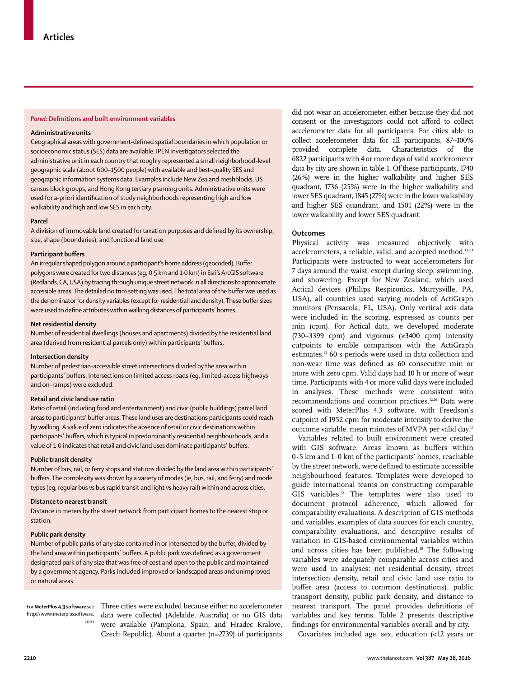# **Panel:** Definitions and built environment variables

#### **Administrative units**

Geographical areas with government-defined spatial boundaries in which population or socioeconomic status (SES) data are available. IPEN investigators selected the administrative unit in each country that roughly represented a small neighborhood-level geographic scale (about 600–1500 people) with available and best-quality SES and geographic information systems data. Examples include New Zealand meshblocks, US census block groups, and Hong Kong tertiary planning units. Administrative units were used for a-priori identification of study neighborhoods representing high and low walkability and high and low SES in each city.

#### **Parcel**

A division of immovable land created for taxation purposes and defined by its ownership, size, shape (boundaries), and functional land use.

#### **Participant buffers**

An irregular shaped polygon around a participant's home address (geocoded). Buffer polygons were created for two distances (eg, 0·5 km and 1·0 km) in Esri's ArcGIS software (Redlands, CA, USA) by tracing through unique street network in all directions to approximate accessible areas. The detailed no trim setting was used. The total area of the buffer was used as the denominator for density variables (except for residential land density). These buffer sizes were used to define attributes within walking distances of participants' homes.

#### **Net residential density**

Number of residential dwellings (houses and apartments) divided by the residential land area (derived from residential parcels only) within participants' buffers.

#### **Intersection density**

Number of pedestrian-accessible street intersections divided by the area within participants' buffers. Intersections on limited access roads (eg, limited-access highways and on–ramps) were excluded.

#### **Retail and civic land use ratio**

Ratio of retail (including food and entertainment) and civic (public buildings) parcel land areas to participants' buffer areas. These land uses are destinations participants could reach by walking. Avalue of zero indicates the absence of retail or civic destinations within participants' buffers, which is typical in predominantly residential neighbourhoods, and a value of 1·0 indicates that retail and civic land uses dominate participants' buffers.

## **Public transit density**

Number of bus, rail, or ferry stops and stations divided by the land area within participants' buffers. The complexity was shown by a variety of modes (ie, bus, rail, and ferry) and mode types (eg, regular bus *vs* bus rapid transit and light *vs* heavy rail) within and across cities.

#### **Distance to nearest transit**

Distance in meters by the street network from participant homes to the nearest stop or station.

## **Public park density**

Number of public parks of any size contained in or intersected by the buffer, divided by the land area within participants' buffers. A public park was defined as a government designated park of any size that was free of cost and open to the public and maintained by a government agency. Parks included improved or landscaped areas and unimproved or natural areas.

For **MeterPlus 4.3 software** see http://www.meterplussoftware. com

Three cities were excluded because either no accelerometer data were collected (Adelaide, Australia) or no GIS data were available (Pamplona, Spain, and Hradec Kralove, Czech Republic). About a quarter (n=2739) of participants did not wear an accelerometer, either because they did not consent or the investigators could not afford to collect accelerometer data for all participants. For cities able to collect accelerometer data for all participants, 87–100% provided complete data. Characteristics of the 6822 participants with 4 or more days of valid accelerometer data by city are shown in table 1. Of these participants, 1740 (26%) were in the higher walkability and higher SES quadrant, 1736 (25%) were in the higher walkability and lower SES quadrant, 1845 (27%) were in the lower walkability and higher SES quandrant, and 1501 (22%) were in the lower walkability and lower SES quadrant.

#### **Outcomes**

Physical activity was measured objectively with accelerometers, a reliable, valid, and accepted method.<sup>12-14</sup> Participants were instructed to wear accelerometers for 7 days around the waist, except during sleep, swimming, and showering. Except for New Zealand, which used Actical devices (Philips Respironics, Murrysville, PA, USA), all countries used varying models of ActiGraph monitors (Pensacola, FL, USA). Only vertical axis data were included in the scoring, expressed as counts per min (cpm). For Actical data, we developed moderate (730–3399 cpm) and vigorous  $(\geq 3400 \text{ cm})$  intensity cutpoints to enable comparison with the ActiGraph estimates.15 60 s periods were used in data collection and non-wear time was defined as 60 consecutive min or more with zero cpm. Valid days had 10 h or more of wear time. Participants with 4 or more valid days were included in analyses. These methods were consistent with recommendations and common practices.<sup>12,16</sup> Data were scored with MeterPlus 4.3 software, with Freedson's cutpoint of 1952 cpm for moderate intensity to derive the outcome variable, mean minutes of MVPA per valid day.<sup>17</sup>

Variables related to built environment were created with GIS software. Areas known as buffers within 0·5 km and 1·0 km of the participants' homes, reachable by the street network, were defined to estimate accessible neighbourhood features. Templates were developed to guide international teams on constructing comparable GIS variables.18 The templates were also used to document protocol adherence, which allowed for comparability evaluations. A description of GIS methods and variables, examples of data sources for each country, comparability evaluations, and descriptive results of variation in GIS-based environmental variables within and across cities has been published.<sup>18</sup> The following variables were adequately comparable across cities and were used in analyses: net residential density, street intersection density, retail and civic land use ratio to buffer area (access to common destinations), public transport density, public park density, and distance to nearest transport. The panel provides definitions of variables and key terms. Table 2 presents descriptive findings for environmental variables overall and by city.

Covariates included age, sex, education (<12 years or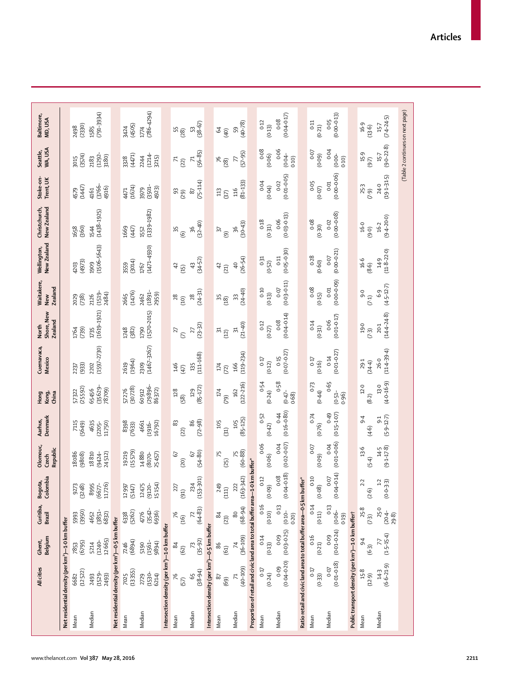| Net residential density (per km <sup>2</sup> )-0.5 km buffer<br>Net residential density (per km <sup>2</sup> )-1-0 km buffer<br>Intersection density (per km <sup>2</sup> )-1.0 km buffer<br>(13355)<br>(12522)<br>$(1530 -$<br>$(1529 -$<br>7025<br>6214)<br>2493)<br>2729<br>2493<br>6682<br>Median<br>Median<br>Mean<br>Mean | (6795)<br>7853              |                              |                              |                              |                             |                               |                         |                         | <b>Zealand</b>               |                                |                               |                            |                                  |                         |
|---------------------------------------------------------------------------------------------------------------------------------------------------------------------------------------------------------------------------------------------------------------------------------------------------------------------------------|-----------------------------|------------------------------|------------------------------|------------------------------|-----------------------------|-------------------------------|-------------------------|-------------------------|------------------------------|--------------------------------|-------------------------------|----------------------------|----------------------------------|-------------------------|
|                                                                                                                                                                                                                                                                                                                                 |                             |                              |                              |                              |                             |                               |                         |                         |                              |                                |                               |                            |                                  |                         |
|                                                                                                                                                                                                                                                                                                                                 |                             | (3950)<br>5993               | 9273<br>(3248)               | 18086<br>(9808)              | 7115<br>(5649)              | (25592)<br>57322              | 237<br>(933)            | 1764<br>(739)           | (738)<br>2029                | 4203<br>(4973)                 | 1658<br>(360)                 | (1447)<br>4579             | 3015<br>(3574)                   | (2330)<br>2498          |
|                                                                                                                                                                                                                                                                                                                                 | 12665)<br>$(1240 -$<br>5214 | $(3851 -$<br>$6832)$<br>4652 | 11726)<br>8995<br>$(6677 -$  | $(9424 - 24512)$<br>18810    | 4635<br>$(2205 -$<br>11750) | $(35629 -$<br>78709)<br>65456 | $(1597 - 2730)$<br>2202 | $(1619 - 1921)$<br>1735 | $(1519 -$<br>2484)<br>2126   | $(1506 - 5643)$<br>1909        | $(1438 - 1925)$<br>1544       | (3766-<br>4916)<br>4161    | $(1292 -$<br>3180)<br>2183       | $(791 - 3934)$<br>1585  |
|                                                                                                                                                                                                                                                                                                                                 |                             |                              |                              |                              |                             |                               |                         |                         |                              |                                |                               |                            |                                  |                         |
|                                                                                                                                                                                                                                                                                                                                 | (6894)<br>7246              | (5262)<br>6338               | 12997<br>(5147)              | (15579)<br>19219             | 8398<br>(7633)              | (30728)<br>57276              | (1964)<br>2619          | (382)<br>1748           | (1476)<br>2665               | (3014)<br>3559                 | 1669<br>(447)                 | (1674)<br>4471             | (4471)<br>3328                   | (4505)<br>3424          |
|                                                                                                                                                                                                                                                                                                                                 | $(1561 -$<br>9894)<br>5190  | $(3542 -$<br>6936)<br>4776   | 15154)<br>12475<br>$(9120 -$ | 14880<br>25457)<br>$(8070 -$ | 4661<br>16792)<br>$(1916 -$ | $(29896 -$<br>86372)<br>60912 | $(1467 - 3267)$<br>2309 | $(1570 - 2015)$<br>1790 | $(1891 -$<br>2959)<br>2462   | $(1471 - 4930)$<br>1767        | $(1339 - 1982)$<br>1552       | $(3501 -$<br>4923)<br>3979 | $(1214 -$<br>3215)<br>2244       | $(786 - 4294)$<br>1774  |
|                                                                                                                                                                                                                                                                                                                                 |                             |                              |                              |                              |                             |                               |                         |                         |                              |                                |                               |                            |                                  |                         |
| 76<br>57)<br>Mean                                                                                                                                                                                                                                                                                                               | 84<br>(62)                  | 76<br>(16)                   | 227<br>(91)                  | 67<br>(20)                   | 83<br>(22)                  | 128<br>(58)                   | 146<br>(47)             | 27<br>$\mathcal{L}$     | $28$<br>$\widetilde{B}$      | $\overline{4}$<br>(15)         | 35<br>$\circledcirc$          | $^{93}_{(29)}$             | $\frac{71}{2}$                   | $\frac{55}{28}$         |
| $(38-94)$<br>9<br>Median                                                                                                                                                                                                                                                                                                        | $(35 - 92)$<br>73           | $(64 - 83)$                  | $(153 - 301)$<br>234         | $(54 - 80)$<br>67            | $(72 - 98)$<br>86           | $(85 - 172)$<br>129           | $(111 - 168)$<br>135    | $(23-32)$<br>27         | $(24-31)$<br>28              | $(34 - 52)$<br>$\frac{1}{2}$   | $(32 - 40)$<br>96             | $(75 - 114)$<br>87         | $(56 - 85)$<br>尺                 | $(38-67)$<br>c          |
| Intersection density (per km <sup>2</sup> )-0.5 km buffer                                                                                                                                                                                                                                                                       |                             |                              |                              |                              |                             |                               |                         |                         |                              |                                |                               |                            |                                  |                         |
| 87<br>(69)<br>Mean                                                                                                                                                                                                                                                                                                              | 86<br>(61)                  | $\frac{8}{4}$<br>(23)        | 249<br>(111)                 | 15<br>(25)                   | 105<br>(31)                 | 174<br>(62)                   | $174\,$<br>(72)         | ಸ<br>$(12)$             | 55<br>(18)                   | $\overline{4}$<br>(21)         | ଲ<br>$\widehat{\mathfrak{S}}$ | 113<br>(37)                | 76<br>$(28)$                     | $\mathcal{A}$<br>(40)   |
| $(40 - 109)$<br>$\mathcal{L}$<br>Median                                                                                                                                                                                                                                                                                         | $(36 - 109)$<br>74          | $(68 - 94)$<br>80            | $(163 - 342)$<br>222         | $(60 - 88)$                  | $(85 - 125)$<br>105         | $(122 - 216)$<br>162          | $(119 - 234)$<br>166    | $(21-40)$<br>$\Xi$      | $(24 - 40)$<br>33            | $(26 - 54)$<br>$\overline{40}$ | $(30 - 43)$<br>36             | $(81 - 133)$<br>116        | $(57 - 95)$<br>$\triangleright$  | $(40 - 78)$<br>59       |
| Proportion of retail and civic land area to total buffer area-1.0 km buffer*                                                                                                                                                                                                                                                    |                             |                              |                              |                              |                             |                               |                         |                         |                              |                                |                               |                            |                                  |                         |
| 0.17<br>(0.24)<br>Mean                                                                                                                                                                                                                                                                                                          | 0.14<br>(0.13)              | 0.16<br>(0.10)               | 0.12<br>(0.09)               | 0.06<br>(0.06)               | 0.52<br>(0.42)              | 0.54<br>(0.24)                | 0.17<br>(0.12)          | 0.12<br>(0.27)          | 0.10<br>(0.13)               | 0:31<br>(0.52)                 | $0.18\,$<br>(0.31)            | 0.04<br>(0.04)             | 0.08<br>(0.06)                   | 0.12<br>(0.13)          |
| $(0.04 - 0.20)$<br>0.09<br>Median                                                                                                                                                                                                                                                                                               | $(0.03 - 0.25)$<br>0.09     | 0.13<br>$(0.10 -$<br>0.20)   | $(0.04 - 0.18)$<br>0.08      | $(0.02 - 0.07)$<br>0.04      | $(0.16 - 0.80)$<br>0.4      | 0.58<br>$-44-0$<br>0.68       | $(0.07 - 0.27)$<br>0.15 | $(0.04 - 0.14)$<br>0.08 | $(0.03 - 0.11)$<br>0.07      | $(0.05 - 0.30)$<br>0:11        | $(0.03 - 0.13)$<br>0.06       | $(0.01 - 0.05)$<br>0.02    | 0.06<br>$(0.04 -$<br>0.10        | $(0.04 - 0.17)$<br>0.08 |
| Ratio retail and civic land area to total buffer area-0.5 km buffer*                                                                                                                                                                                                                                                            |                             |                              |                              |                              |                             |                               |                         |                         |                              |                                |                               |                            |                                  |                         |
| 0.17<br>(0.33)<br>Mean                                                                                                                                                                                                                                                                                                          | 0.16<br>(0.21)              | 0.14<br>(0.11)               | 0.10<br>(0.08)               | 0.07<br>(0.09)               | 0.74<br>(0.76)              | $0 - 73$<br>(0.44)            | 0.17<br>(0.16)          | 0.14<br>(0.31)          | 0.08<br>(0.15)               | 0.28<br>(0.60)                 | 0.08<br>(0.30)                | 0.05<br>(0.07)             | $0 - 0$<br>(0.09)                | 0:11<br>(0.21)          |
| $(0.01 - 0.18)$<br>0.07<br>Median                                                                                                                                                                                                                                                                                               | $(0.01 - 0.24)$<br>0.09     | 0.13<br>$(0.06 -$<br>0.19)   | $(0.04 - 0.14)$<br>0.07      | $(0.01 - 0.06)$<br>0.04      | 64.0<br>$(0.15 - 1.07)$     | 0.65<br>$(0.51 -$<br>0.96     | $(0.01 - 0.27)$<br>0.14 | $(0.01 - 0.17)$<br>0.06 | $(0.0 - 0.09)$<br>0.01       | $(0.00 - 0.21)$<br>0.07        | $(0.00 - 0.08)$<br>0.02       | $(0.00 - 0.06)$<br>0.01    | 0.04<br>$(0.00 -$<br>0.10)       | $(0.00 - 0.13)$<br>0.05 |
| Public transport density (per km <sup>2</sup> )-1.0 km buffer†                                                                                                                                                                                                                                                                  |                             |                              |                              |                              |                             |                               |                         |                         |                              |                                |                               |                            |                                  |                         |
| 15.8<br>(12.9)<br>Mean                                                                                                                                                                                                                                                                                                          | $\ddot{6}$<br>$(6-3)$       | 25.8<br>$(7-3)$              | 2.2<br>(2.6)                 | 13.6<br>$(5-4)$              | $\overline{9}$ .4<br>(4.6)  | 12.0<br>(8.2)                 | 29.1<br>$(24-4)$        | 19.0<br>$(7-3)$         | $\sigma$<br>(7.1)            | 16.6<br>(8.6)                  | 16.0<br>(9.0)                 | 25.3<br>$(6 - 7)$          | 15.9<br>$(9-7)$                  | 16.9<br>(13.6)          |
| $(6.6 - 21.9)$<br>14.3<br>Median                                                                                                                                                                                                                                                                                                | $(1.5 - 15.4)$              | 25.0<br>$(20.4 -$<br>29.8)   | $(0.0 - 3.3)$<br>1.2         | $14-5$<br>(9.1-17.8)         | $(5.9 - 12.7)$<br>51        | $(4.0 - 16.9)$<br>$13.0$      | $(11.4 - 39.4)$<br>26.0 | $(14.4 - 24.8)$<br>20.1 | $(4 - 5 - 12 - 7)$<br>$6\,9$ | $(11.8 - 22.0)$<br>14.9        | $(9-4-20.0)$<br>16.2          | $(19.1 - 31.5)$<br>24.0    | $(9.0 - 22.8)$<br>$15-7$         | $(7.4 - 24.5)$<br>$15-$ |
|                                                                                                                                                                                                                                                                                                                                 |                             |                              |                              |                              |                             |                               |                         |                         |                              |                                |                               |                            | (Table 2 continues on next page) |                         |
|                                                                                                                                                                                                                                                                                                                                 |                             |                              |                              |                              |                             |                               |                         |                         |                              |                                |                               |                            |                                  |                         |
|                                                                                                                                                                                                                                                                                                                                 |                             |                              |                              |                              |                             |                               |                         |                         |                              |                                |                               |                            |                                  |                         |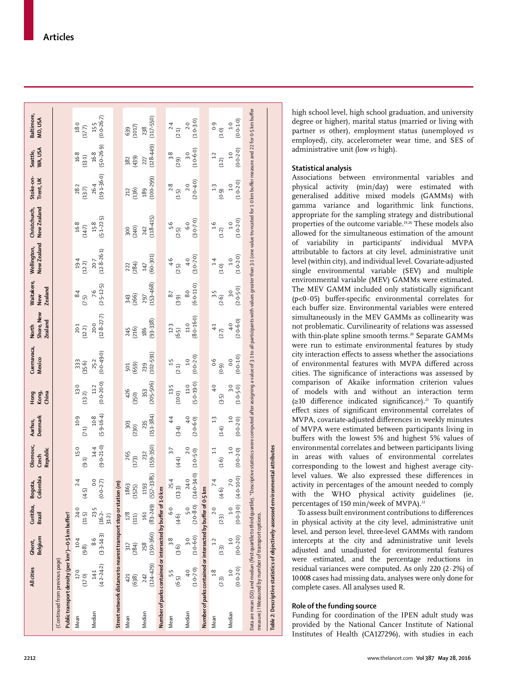|                                                                                                  | All cities                | Ghent,<br>Belgium                                         |                                           | Curitiba, Bogota,<br>Brazil Colombia | Dlomouc,<br>Republic<br>Czech   | Denmark<br>Aarhus,                 | Hong<br>Kong,<br>China                       | Cuernavaca,<br><b>Mexico</b>       | North<br>Shore, New<br><b>Zealand</b> | Naitakere,<br><b>Zealand</b><br>New            | New Zealand<br>Wellington,    | New Zealand<br>Christchurch,                                                                                                                                                                                                   | Stoke-on-<br>Trent, UK         | Seattle,<br>WA, USA              | Baltimore,<br>MD, USA        |
|--------------------------------------------------------------------------------------------------|---------------------------|-----------------------------------------------------------|-------------------------------------------|--------------------------------------|---------------------------------|------------------------------------|----------------------------------------------|------------------------------------|---------------------------------------|------------------------------------------------|-------------------------------|--------------------------------------------------------------------------------------------------------------------------------------------------------------------------------------------------------------------------------|--------------------------------|----------------------------------|------------------------------|
| Public transport density (per km <sup>2</sup> )-0.5 km buffer†<br>(Continued from previous page) |                           |                                                           |                                           |                                      |                                 |                                    |                                              |                                    |                                       |                                                |                               |                                                                                                                                                                                                                                |                                |                                  |                              |
| Mean                                                                                             | 17.0<br>(17.0)            | $10-4$<br>(9.8)                                           | 24.0<br>(11.5)                            | 2.4<br>(4.5)                         | 15.0<br>(9.1)                   | 10.9<br>(7.1)                      | 13.0<br>(13.2)                               | 33.3<br>(35.6)                     | 20.1<br>(12.2)                        | 8.4<br>(7.5)                                   | $19.4$<br>(12.2)              | $\begin{array}{c} 16.8 \\ (14.7) \end{array}$                                                                                                                                                                                  | $28.2$<br>(13.7)               | $16-8$<br>(13-1)                 | 18.0<br>$(17-7)$             |
| Median                                                                                           | $(4.2 - 24.2)$<br>141     | $(3.3 - 14.3)$<br>$\frac{6}{8}$                           | 23.5<br>$(16.2 - 31.2)$                   | o<br>O<br>$(0.0 - 2.7)$              | $(9 - 0 - 21.0)$<br>14.4        | $(5.9 - 16.4)$<br>10.8             | $(0.0 - 20.0)$<br>11.2                       | $(0.0 + 49.0)$<br>25.2             | $12.8 - 27.7$<br>20-0                 | $(2.5 - 12.5)$<br>$7-6$                        | $(1.9 - 8 - 2)$<br>20.7       | $(5.1 - 22.5)$<br>$15.8$                                                                                                                                                                                                       | 19 1-36.0)<br>26.4             | $(5.0 - 26.9)$<br>168            | $(0.0 - 26.7)$<br>15.5       |
| Street network distance to nearest transport stop or station (m)                                 |                           |                                                           |                                           |                                      |                                 |                                    |                                              |                                    |                                       |                                                |                               |                                                                                                                                                                                                                                |                                |                                  |                              |
| Mean                                                                                             | (638)<br>421              | 317<br>(284)                                              | $\begin{array}{c} 178 \\ 111 \end{array}$ | 1863<br>(1525)                       | 265<br>(173)                    | $\frac{303}{(230)}$                | 426<br>(350)                                 | (659)<br>501                       | 245<br>216)                           | 343<br>(266)                                   | 284)<br>222                   | (240)<br>300                                                                                                                                                                                                                   | (136)<br>212                   | (439)<br>382                     | (1017)<br>639                |
| Median                                                                                           | $(124 - 429)$<br>242      | $(150-360)$ $(83-249)$ $(557-3385)$<br>258                | 161                                       | 1193                                 | $(159 - 350)$<br>232            | $(151 - 384)$<br>235               | $(205 - 506)$<br>353                         | $(102 - 591)$<br>239               | $(93 - 338)$<br>186                   | $153 - 468$<br>297                             | $(60-301)$<br>147             | 118-415)<br>242                                                                                                                                                                                                                | $100 - 299$<br>189             | $(644-821)$<br>227               | $(117 - 550)$<br>238         |
| Number of parks contained or intersected by buffer of 1-0 km                                     |                           |                                                           |                                           |                                      |                                 |                                    |                                              |                                    |                                       |                                                |                               |                                                                                                                                                                                                                                |                                |                                  |                              |
| Mean                                                                                             | 55<br>5<br>$(6-5)$        | $\frac{38}{3}$<br>(3.6)                                   | 0.<br>ف<br>(4.6)                          | $\frac{254}{254}$                    | 3:7<br>(4.4)                    | 44<br>$(3-4)$                      | $13-5$<br>(10.0)                             | 1.5<br>(2.1)                       | $12.3$<br>(6-5)                       | 8.7<br>(3.9)                                   | $\frac{6}{4}$<br>(2.5)        | 5.6<br>(2.5)                                                                                                                                                                                                                   | 2.8<br>(1.5)                   | (5.5)                            | 2.4<br>(2.1)                 |
| Median                                                                                           | $\frac{1}{4}$             | $(0.6-0.41)$ $(0.8-0.5)$ $(0.6-0.1)$ $(0.7-0.1)$<br>$3-0$ | 5.0                                       | 24.0                                 | $2-0$<br>$(1-0-5-0)$            | $\ddot{ }$<br>$(2.0 - 6.0)$        | $(5-0-19.0)$<br>$11.0$                       | $(0.0 - 2.0)$<br>$\overline{1}$ .0 | $(0.91 - 0.8)$<br>11.0                | $(6 - 11 - 0)$<br>8.0                          | $(3.0 - 7.0)$<br>$4-0$        | $(3.0 - 7.0)$<br>$6-0$                                                                                                                                                                                                         | $(2.0 - 4.0)$<br>2.0           | $(0 - 6.0)$<br>$\overline{3}$ .0 | $(0.5 - 0.1)$<br>2.0         |
| Number of parks contained or intersected by buffer of 0-5 km                                     |                           |                                                           |                                           |                                      |                                 |                                    |                                              |                                    |                                       |                                                |                               |                                                                                                                                                                                                                                |                                |                                  |                              |
| Mean                                                                                             | $\frac{8}{1}$<br>(2.3)    | 1.2<br>$(1-3)$                                            | $2.0$<br>(2.3)                            | $7.4$<br>(4.6)                       | 1:1<br>(1.6)                    | $\frac{1}{2}$<br>(1.4)             | $\ddot{ }$<br>(3.5)                          | 0.6<br>(0.9)                       | $\ddot{ }$<br>$(2-7)$                 | (2.6)                                          | 14<br>(1.0)                   | $\frac{6}{1}$<br>(1.2)                                                                                                                                                                                                         | $\ddot{1}$<br>(0.9)            | $1\cdot\sqrt{2}$<br>(1.2)        | o.o<br>$(0.1)$               |
| Median                                                                                           | $(0.0 - 2.0)$<br>$^{0.1}$ | $(0.0 - 2.0)$<br>$\frac{1}{1}$                            | 1.0                                       | 7.0<br>$(0.010.4)$ $(0.50.0)$        | $\overline{0}$<br>$(0.0 - 2.0)$ | $\overline{1}$ .0<br>$(0.0 - 2.0)$ | $\overline{3}$ <sup>-</sup><br>$(1.0 - 5.0)$ | $(0.1 - 0)$<br>$\overline{0}$      | $(2.0 - 6.0)$<br>$4-0$                | $(2.0 - 5.0)$<br>$\overline{3}$ <sup>-</sup> 0 | $(1.0 - 2.0)$<br>$\ddot{ }$ . | $(1.0 - 2.0)$<br>$1-0$                                                                                                                                                                                                         | $(1.0 - 2.0)$<br>$\frac{1}{2}$ | $0 - 2 - 0$<br>$1-0$             | $(0.1 - 0)$<br>$\frac{0}{1}$ |
| measure). tMeasured by number of transport options.                                              |                           |                                                           |                                           |                                      |                                 |                                    |                                              |                                    |                                       |                                                |                               | oata are mean (SD) and median (first quartile) third quartile). "Descriptive statistics were computed after asigning a value of 3-1 to all participants with values greater than 3-1 (one value truncated for 1-0 km buffer me |                                |                                  |                              |
| Table 2: Descriptive statistics of objectively-assessed environmental attributes                 |                           |                                                           |                                           |                                      |                                 |                                    |                                              |                                    |                                       |                                                |                               |                                                                                                                                                                                                                                |                                |                                  |                              |

high school level, high school graduation, and university degree or higher), marital status (married or living with partner *vs* other), employment status (unemployed *vs* employed), city, accelerometer wear time, and SES of administrative unit (low *vs* high).

# **Statistical analysis**

Associations between environmental variables and physical activity (min/day) were estimated with generalised additive mixed models (GAMMs) with gamma variance and logarithmic link functions, appropriate for the sampling strategy and distributional properties of the outcome variable.19,20 These models also allowed for the simultaneous estimation of the amount of variability in participants' individual MVPA attributable to factors at city level, administrative unit level (within city), and individual level. Covariate-adjusted single environmental variable (SEV) and multiple environmental variable (MEV) GAMMs were estimated. The MEV GAMM included only statistically significant  $(p<0.05)$  buffer-specific environmental correlates for each buffer size. Environmental variables were entered simultaneously in the MEV GAMMs as collinearity was not problematic. Curvilinearity of relations was assessed with thin-plate spline smooth terms.<sup>20</sup> Separate GAMMs were run to estimate environmental features by study city interaction effects to assess whether the associations of environmental features with MVPA differed across cities. The significance of interactions was assessed by comparison of Akaike information criterion values of models with and without an interaction term  $(\geq 10$  difference indicated significance).<sup>21</sup> To quantify effect sizes of significant environmental correlates of MVPA, covariate-adjusted differences in weekly minutes of MVPA were estimated between participants living in buffers with the lowest 5% and highest 5% values of environmental correlates and between participants living in areas with values of environmental correlates corresponding to the lowest and highest average citylevel values. We also expressed these differences in activity in percentages of the amount needed to comply with the WHO physical activity guidelines (ie, percentages of 150 min/week of MVPA).<sup>22</sup>

To assess built environment contributions to differences in physical activity at the city level, administrative unit level, and person level, three-level GAMMs with random intercepts at the city and administrative unit levels adjusted and unadjusted for environmental features were estimated, and the percentage reductions in residual variances were computed. As only 220 (2·2%) of 10 008 cases had missing data, analyses were only done for complete cases. All analyses used R.

# **Role of the funding source**

Funding for coordination of the IPEN adult study was provided by the National Cancer Institute of National Institutes of Health (CA127296), with studies in each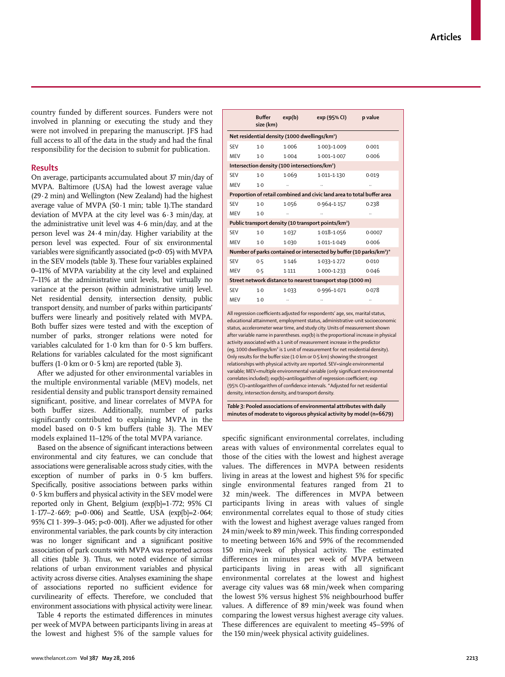country funded by different sources. Funders were not involved in planning or executing the study and they were not involved in preparing the manuscript. JFS had full access to all of the data in the study and had the final responsibility for the decision to submit for publication.

## **Results**

On average, participants accumulated about 37 min/day of MVPA. Baltimore (USA) had the lowest average value (29·2 min) and Wellington (New Zealand) had the highest average value of MVPA (50·1 min; table 1).The standard deviation of MVPA at the city level was 6·3 min/day, at the administrative unit level was 4·6 min/day, and at the person level was 24·4 min/day. Higher variability at the person level was expected. Four of six environmental variables were significantly associated ( $p<0.05$ ) with MVPA in the SEV models (table 3). These four variables explained 0–11% of MVPA variability at the city level and explained 7–11% at the administrative unit levels, but virtually no variance at the person (within administrative unit) level. Net residential density, intersection density, public transport density, and number of parks within participants' buffers were linearly and positively related with MVPA. Both buffer sizes were tested and with the exception of number of parks, stronger relations were noted for variables calculated for  $1.0$  km than for  $0.5$  km buffers. Relations for variables calculated for the most significant buffers (1 $\cdot$ 0 km or 0 $\cdot$ 5 km) are reported (table 3).

After we adjusted for other environmental variables in the multiple environmental variable (MEV) models, net residential density and public transport density remained significant, positive, and linear correlates of MVPA for both buffer sizes. Additionally, number of parks significantly contributed to explaining MVPA in the model based on  $0.5$  km buffers (table 3). The MEV models explained 11–12% of the total MVPA variance.

Based on the absence of significant interactions between environmental and city features, we can conclude that associations were generalisable across study cities, with the exception of number of parks in  $0.5$  km buffers. Specifically, positive associations between parks within  $0.5$  km buffers and physical activity in the SEV model were reported only in Ghent, Belgium (exp[b]=1·772; 95% CI 1·177–2·669; p=0·006) and Seattle, USA (exp[b]=2·064; 95% CI 1·399–3·045; p<0·001). After we adjusted for other environmental variables, the park counts by city interaction was no longer significant and a significant positive association of park counts with MVPA was reported across all cities (table 3). Thus, we noted evidence of similar relations of urban environment variables and physical activity across diverse cities. Analyses examining the shape of associations reported no sufficient evidence for curvilinearity of effects. Therefore, we concluded that environment associations with physical activity were linear.

Table 4 reports the estimated differences in minutes per week of MVPA between participants living in areas at the lowest and highest 5% of the sample values for

|            | <b>Buffer</b><br>size (km) | exp(b)                                                    | exp (95% CI)                                                                    | p value |
|------------|----------------------------|-----------------------------------------------------------|---------------------------------------------------------------------------------|---------|
|            |                            | Net residential density (1000 dwellings/km <sup>2</sup> ) |                                                                                 |         |
| <b>SEV</b> | $1-0$                      | 1.006                                                     | 1.003-1.009                                                                     | 0.001   |
| <b>MEV</b> | $1-0$                      | 1.004                                                     | $1.001 - 1.007$                                                                 | 0.006   |
|            |                            | Intersection density (100 intersections/km <sup>2</sup> ) |                                                                                 |         |
| <b>SEV</b> | $1-0$                      | 1.069                                                     | $1.011 - 1.130$                                                                 | 0.019   |
| MEV        | $1-0$                      |                                                           |                                                                                 |         |
|            |                            |                                                           | Proportion of retail combined and civic land area to total buffer area          |         |
| SFV        | $1-0$                      | 1.056                                                     | $0.964 - 1.157$                                                                 | 0.238   |
| MEV        | $1-0$                      |                                                           |                                                                                 |         |
|            |                            |                                                           | Public transport density (10 transport points/km <sup>2</sup> )                 |         |
| <b>SEV</b> | $1-0$                      | 1.037                                                     | $1.018 - 1.056$                                                                 | 0.0007  |
| MEV        | $1-0$                      | 1.030                                                     | 1.011-1.049                                                                     | 0.006   |
|            |                            |                                                           | Number of parks contained or intersected by buffer (10 parks/km <sup>2</sup> )* |         |
| <b>SEV</b> | 0.5                        | 1.146                                                     | 1.033-1.272                                                                     | 0.010   |
| MEV        | 0.5                        | 1.111                                                     | $1.000 - 1.233$                                                                 | 0.046   |
|            |                            |                                                           | Street network distance to nearest transport stop (1000 m)                      |         |
| <b>SEV</b> | $1-0$                      | 1.033                                                     | 0.996-1.071                                                                     | 0.078   |
| MEV        | $1-0$                      |                                                           |                                                                                 |         |

All regression coefficients adjusted for respondents' age, sex, marital status, educational attainment, employment status, administrative-unit socioeconomic status, accelerometer wear time, and study city. Units of measurement shown after variable name in parentheses. exp(b) is the proportional increase in physical activity associated with a 1 unit of measurement increase in the predictor (eg, 1000 dwellings/km² is 1 unit of measurement for net residential density). Only results for the buffer size (1.0 km or 0.5 km) showing the strongest relationships with physical activity are reported. SEV=single environmental variable; MEV=multiple environmental variable (only significant environmental correlates included); exp(b)=antilogarithm of regression coefficient; exp (95% CI)=antilogarithm of confidence intervals. \*Adjusted for net residential density, intersection density, and transport density.

*Table 3:* **Pooled associations of environmental attributes with daily minutes of moderate to vigorous physical activity by model (n=6679)**

specific significant environmental correlates, including areas with values of environmental correlates equal to those of the cities with the lowest and highest average values. The differences in MVPA between residents living in areas at the lowest and highest 5% for specific single environmental features ranged from 21 to 32 min/week. The differences in MVPA between participants living in areas with values of single environmental correlates equal to those of study cities with the lowest and highest average values ranged from 24 min/week to 89 min/week. This finding corresponded to meeting between 16% and 59% of the recommended 150 min/week of physical activity. The estimated differences in minutes per week of MVPA between participants living in areas with all significant environmental correlates at the lowest and highest average city values was 68 min/week when comparing the lowest 5% versus highest 5% neighbourhood buffer values. A difference of 89 min/week was found when comparing the lowest versus highest average city values. These differences are equivalent to meeting 45–59% of the 150 min/week physical activity guidelines.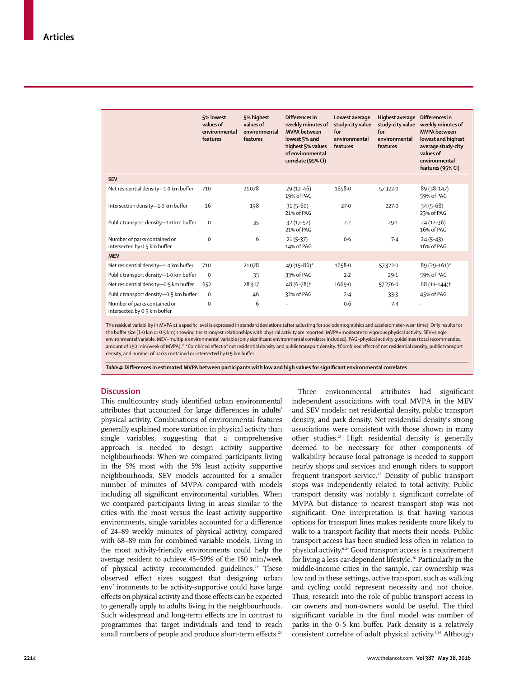|                                                              | 5% lowest<br>values of<br>environmental<br>features | 5% highest<br>values of<br>environmental<br>features | Differences in<br>weekly minutes of<br><b>MVPA</b> between<br>lowest 5% and<br>highest 5% values<br>of environmental<br>correlate (95% CI) | Lowest average<br>study-city value<br>for<br>environmental<br>features | <b>Highest average</b><br>study-city value<br>for<br>environmental<br>features | Differences in<br>weekly minutes of<br><b>MVPA</b> between<br>lowest and highest<br>average study-city<br>values of<br>environmental<br>features (95% CI) |
|--------------------------------------------------------------|-----------------------------------------------------|------------------------------------------------------|--------------------------------------------------------------------------------------------------------------------------------------------|------------------------------------------------------------------------|--------------------------------------------------------------------------------|-----------------------------------------------------------------------------------------------------------------------------------------------------------|
| <b>SEV</b>                                                   |                                                     |                                                      |                                                                                                                                            |                                                                        |                                                                                |                                                                                                                                                           |
| Net residential density-1.0 km buffer                        | 710                                                 | 21078                                                | $29(12-46)$<br>19% of PAG                                                                                                                  | 1658.0                                                                 | 57322-0                                                                        | 89 (38-147)<br>59% of PAG                                                                                                                                 |
| Intersection density-1.0 km buffer                           | 16                                                  | 198                                                  | $31(5-60)$<br>21% of PAG                                                                                                                   | 27.0                                                                   | 227.0                                                                          | $34(5-68)$<br>23% of PAG                                                                                                                                  |
| Public transport density-1.0 km buffer                       | $\mathbf 0$                                         | 35                                                   | $32(17-52)$<br>21% of PAG                                                                                                                  | 2.2                                                                    | 29.1                                                                           | $24(12-36)$<br>16% of PAG                                                                                                                                 |
| Number of parks contained or<br>intersected by 0.5 km buffer | $\mathbf 0$                                         | 6                                                    | $21(5-37)$<br>14% of PAG                                                                                                                   | 0.6                                                                    | 7.4                                                                            | $24(5-43)$<br>16% of PAG                                                                                                                                  |
| <b>MEV</b>                                                   |                                                     |                                                      |                                                                                                                                            |                                                                        |                                                                                |                                                                                                                                                           |
| Net residential density-1.0 km buffer                        | 710                                                 | 21078                                                | 49 (15-86)*                                                                                                                                | 1658.0                                                                 | 57322.0                                                                        | 89 (29-161)*                                                                                                                                              |
| Public transport density-1.0 km buffer                       | $\mathbf 0$                                         | 35                                                   | 33% of PAG                                                                                                                                 | 2.2                                                                    | 29.1                                                                           | 59% of PAG                                                                                                                                                |
| Net residential density-0.5 km buffer                        | 652                                                 | 28917                                                | 48 (6-78) <sup>†</sup>                                                                                                                     | 1669.0                                                                 | 57276.0                                                                        | 68 (11-144) <sup>†</sup>                                                                                                                                  |
| Public transport density-0.5 km buffer                       | $\mathbf 0$                                         | 46                                                   | 32% of PAG                                                                                                                                 | 2.4                                                                    | 33.3                                                                           | 45% of PAG                                                                                                                                                |
| Number of parks contained or<br>intersected by 0.5 km buffer | $\mathbf 0$                                         | 6                                                    | $\ddotsc$                                                                                                                                  | 0.6                                                                    | 7.4                                                                            |                                                                                                                                                           |

The residual variability in MVPA at a specific level is expressed in standard deviations (after adjusting for sociodemographics and accelerometer-wear time). Only results for the buffer size (1-0 km or 0-5 km) showing the strongest relationships with physical activity are reported. MVPA=moderate to vigorous physical activity. SEV=single environmental variable. MEV=multiple environmental variable (only significant environmental correlates included). PAG=physical activity guidelines (total recommended amount of 150 min/week of MVPA).<sup>22</sup> \*Combined effect of net residential density and public transport density. †Combined effect of net residential density, public transport density, and number of parks contained or intersected by 0.5 km buffer.

Table 4: Differences in estimated MVPA between participants with low and high values for significant environmental correlates

# **Discussion**

This multicountry study identified urban environmental attributes that accounted for large differences in adults' physical activity. Combinations of environmental features generally explained more variation in physical activity than single variables, suggesting that a comprehensive approach is needed to design activity supportive neighbourhoods. When we compared participants living in the 5% most with the 5% least activity supportive neighbourhoods, SEV models accounted for a smaller number of minutes of MVPA compared with models including all significant environmental variables. When we compared participants living in areas similar to the cities with the most versus the least activity supportive environments, single variables accounted for a difference of 24–89 weekly minutes of physical activity, compared with 68–89 min for combined variable models. Living in the most activity-friendly environments could help the average resident to achieve 45–59% of the 150 min/week of physical activity recommended guidelines.<sup>22</sup> These observed effect sizes suggest that designing urban env`ironments to be activity-supportive could have large effects on physical activity and those effects can be expected to generally apply to adults living in the neighbourhoods. Such widespread and long-term effects are in contrast to programmes that target individuals and tend to reach small numbers of people and produce short-term effects.<sup>23</sup>

Three environmental attributes had significant independent associations with total MVPA in the MEV and SEV models: net residential density, public transport density, and park density. Net residential density's strong associations were consistent with those shown in many other studies.24 High residential density is generally deemed to be necessary for other components of walkability because local patronage is needed to support nearby shops and services and enough riders to support frequent transport service.<sup>25</sup> Density of public transport stops was independently related to total activity. Public transport density was notably a significant correlate of MVPA but distance to nearest transport stop was not significant. One interpretation is that having various options for transport lines makes residents more likely to walk to a transport facility that meets their needs. Public transport access has been studied less often in relation to physical activity.6,24 Good transport access is a requirement for living a less car-dependent lifestyle.<sup>26</sup> Particularly in the middle-income cities in the sample, car ownership was low and in these settings, active transport, such as walking and cycling could represent necessity and not choice. Thus, research into the role of public transport access in car owners and non-owners would be useful. The third significant variable in the final model was number of parks in the  $0.5$  km buffer. Park density is a relatively consistent correlate of adult physical activity.<sup>6,24</sup> Although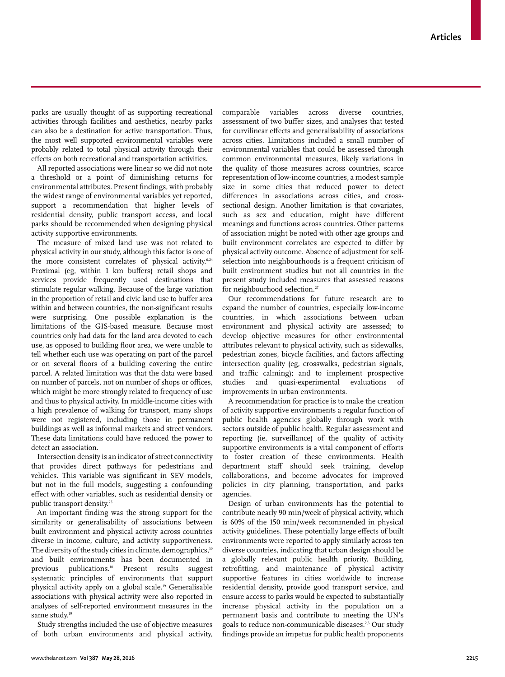parks are usually thought of as supporting recreational activities through facilities and aesthetics, nearby parks can also be a destination for active transportation. Thus, the most well supported environmental variables were probably related to total physical activity through their effects on both recreational and transportation activities.

All reported associations were linear so we did not note a threshold or a point of diminishing returns for environmental attributes. Present findings, with probably the widest range of environmental variables yet reported, support a recommendation that higher levels of residential density, public transport access, and local parks should be recommended when designing physical activity supportive environments.

The measure of mixed land use was not related to physical activity in our study, although this factor is one of the more consistent correlates of physical activity.<sup>6,24</sup> Proximal (eg, within 1 km buffers) retail shops and services provide frequently used destinations that stimulate regular walking. Because of the large variation in the proportion of retail and civic land use to buffer area within and between countries, the non-significant results were surprising. One possible explanation is the limitations of the GIS-based measure. Because most countries only had data for the land area devoted to each use, as opposed to building floor area, we were unable to tell whether each use was operating on part of the parcel or on several floors of a building covering the entire parcel. A related limitation was that the data were based on number of parcels, not on number of shops or offices, which might be more strongly related to frequency of use and thus to physical activity. In middle-income cities with a high prevalence of walking for transport, many shops were not registered, including those in permanent buildings as well as informal markets and street vendors. These data limitations could have reduced the power to detect an association.

Intersection density is an indicator of street connectivity that provides direct pathways for pedestrians and vehicles. This variable was significant in SEV models, but not in the full models, suggesting a confounding effect with other variables, such as residential density or public transport density.25

An important finding was the strong support for the similarity or generalisability of associations between built environment and physical activity across countries diverse in income, culture, and activity supportiveness. The diversity of the study cities in climate, demographics,<sup>10</sup> and built environments has been documented in previous publications.18 Present results suggest systematic principles of environments that support physical activity apply on a global scale.19 Generalisable associations with physical activity were also reported in analyses of self-reported environment measures in the same study.<sup>19</sup>

Study strengths included the use of objective measures of both urban environments and physical activity, comparable variables across diverse countries, assessment of two buffer sizes, and analyses that tested for curvilinear effects and generalisability of associations across cities. Limitations included a small number of environmental variables that could be assessed through common environmental measures, likely variations in the quality of those measures across countries, scarce representation of low-income countries, a modest sample size in some cities that reduced power to detect differences in associations across cities, and crosssectional design. Another limitation is that covariates, such as sex and education, might have different meanings and functions across countries. Other patterns of association might be noted with other age groups and built environment correlates are expected to differ by physical activity outcome. Absence of adjustment for selfselection into neighbourhoods is a frequent criticism of built environment studies but not all countries in the present study included measures that assessed reasons for neighbourhood selection.<sup>27</sup>

Our recommendations for future research are to expand the number of countries, especially low-income countries, in which associations between urban environment and physical activity are assessed; to develop objective measures for other environmental attributes relevant to physical activity, such as sidewalks, pedestrian zones, bicycle facilities, and factors affecting intersection quality (eg, crosswalks, pedestrian signals, and traffic calming); and to implement prospective studies and quasi-experimental evaluations of improvements in urban environments.

A recommendation for practice is to make the creation of activity supportive environments a regular function of public health agencies globally through work with sectors outside of public health. Regular assessment and reporting (ie, surveillance) of the quality of activity supportive environments is a vital component of efforts to foster creation of these environments. Health department staff should seek training, develop collaborations, and become advocates for improved policies in city planning, transportation, and parks agencies.

Design of urban environments has the potential to contribute nearly 90 min/week of physical activity, which is 60% of the 150 min/week recommended in physical activity guidelines. These potentially large effects of built environments were reported to apply similarly across ten diverse countries, indicating that urban design should be a globally relevant public health priority. Building, retrofitting, and maintenance of physical activity supportive features in cities worldwide to increase residential density, provide good transport service, and ensure access to parks would be expected to substantially increase physical activity in the population on a permanent basis and contribute to meeting the UN's goals to reduce non-communicable diseases.2,3 Our study findings provide an impetus for public health proponents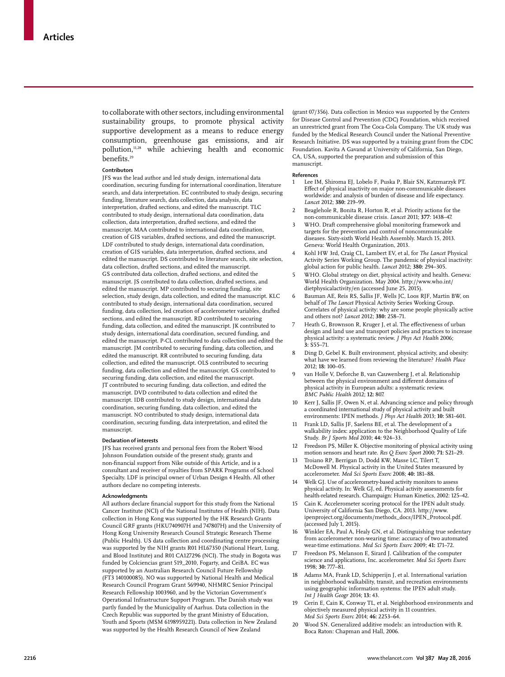to collaborate with other sectors, including environmental sustainability groups, to promote physical activity supportive development as a means to reduce energy consumption, greenhouse gas emissions, and air pollution,<sup>11,28</sup> while achieving health and economic benefits.<sup>29</sup>

#### **Contributors**

JFS was the lead author and led study design, international data coordination, securing funding for international coordination, literature search, and data interpretation. EC contributed to study design, securing funding, literature search, data collection, data analysis, data interpretation, drafted sections, and edited the manuscript. TLC contributed to study design, international data coordination, data collection, data interpretation, drafted sections, and edited the manuscript. MAA contributed to international data coordination, creation of GIS variables, drafted sections, and edited the manuscript. LDF contributed to study design, international data coordination, creation of GIS variables, data interpretation, drafted sections, and edited the manuscript. DS contributed to literature search, site selection, data collection, drafted sections, and edited the manuscript. GS contributed data collection, drafted sections, and edited the manuscript. JS contributed to data collection, drafted sections, and edited the manuscript. MP contributed to securing funding, site selection, study design, data collection, and edited the manuscript. KLC contributed to study design, international data coordination, secured funding, data collection, led creation of accelerometer variables, drafted sections, and edited the manuscript. RD contributed to securing funding, data collection, and edited the manuscript. JK contributed to study design, international data coordination, secured funding, and edited the manuscript. P-CL contributed to data collection and edited the manuscript. JM contributed to securing funding, data collection, and edited the manuscript. RR contributed to securing funding, data collection, and edited the manuscript. OLS contributed to securing funding, data collection and edited the manuscript. GS contributed to securing funding, data collection, and edited the manuscript. JT contributed to securing funding, data collection, and edited the manuscript. DVD contributed to data collection and edited the manuscript. IDB contributed to study design, international data coordination, securing funding, data collection, and edited the manuscript. NO contributed to study design, international data coordination, securing funding, data interpretation, and edited the manuscript.

#### **Declaration of interests**

JFS has received grants and personal fees from the Robert Wood Johnson Foundation outside of the present study, grants and non-financial support from Nike outside of this Article, and is a consultant and receiver of royalties from SPARK Programs of School Specialty. LDF is principal owner of Urban Design 4 Health. All other authors declare no competing interests.

#### **Acknowledgments**

All authors declare financial support for this study from the National Cancer Institute (NCI) of the National Institutes of Health (NIH). Data collection in Hong Kong was supported by the HK Research Grants Council GRF grants (HKU740907H and 747807H) and the University of Hong Kong University Research Council Strategic Research Theme (Public Health). US data collection and coordinating centre processing was supported by the NIH grants R01 HL67350 (National Heart, Lung, and Blood Institute) and R01 CA127296 (NCI). The study in Bogota was funded by Colciencias grant 519\_2010, Fogarty, and CeiBA. EC was supported by an Australian Research Council Future Fellowship (FT3 140100085). NO was supported by National Health and Medical Research Council Program Grant 569940, NHMRC Senior Principal Research Fellowship 1003960, and by the Victorian Government's Operational Infrastructure Support Program. The Danish study was partly funded by the Municipality of Aarhus. Data collection in the Czech Republic was supported by the grant Ministry of Education, Youth and Sports (MSM 6198959221). Data collection in New Zealand was supported by the Health Research Council of New Zealand

(grant 07/356). Data collection in Mexico was supported by the Centers for Disease Control and Prevention (CDC) Foundation, which received an unrestricted grant from The Coca-Cola Company. The UK study was funded by the Medical Research Council under the National Preventive Research Initiative. DS was supported by a training grant from the CDC Foundation. Kavita A Gavand at University of California, San Diego, CA, USA, supported the preparation and submission of this manuscript.

#### **References**

- 1 Lee IM, Shiroma EJ, Lobelo F, Puska P, Blair SN, Katzmarzyk PT. Effect of physical inactivity on major non-communicable diseases worldwide: and analysis of burden of disease and life expectancy. *Lancet* 2012; **380:** 219–99.
- 2 Beaglehole R, Bonita R, Horton R, et al. Priority actions for the non-communicable disease crisis. *Lancet* 2011; **377**: 1438–47.
- WHO. Draft comprehensive global monitoring framework and targets for the prevention and control of noncommunicable diseases. Sixty-sixth World Health Assembly. March 15, 2013. Geneva: World Health Organization, 2013.
- 4 Kohl HW 3rd, Craig CL, Lambert EV, et al, for *The Lancet* Physical Activity Series Working Group. The pandemic of physical inactivity: global action for public health. *Lancet* 2012; **380:** 294–305.
- 5 WHO. Global strategy on diet, physical activity and health. Geneva: World Health Organization. May 2004. http://www.who.int/ dietphysicalactivity/en (accessed June 25, 2015).
- 6 Bauman AE, Reis RS, Sallis JF, Wells JC, Loos RJF, Martin BW, on behalf of *The Lancet* Physical Activity Series Working Group. Correlates of physical activity: why are some people physically active and others not? *Lancet* 2012; **380:** 258–71.
- Heath G, Brownson R, Kruger J, et al. The effectiveness of urban design and land use and transport policies and practices to increase physical activity: a systematic review. *J Phys Act Health* 2006; **3:** S55–71.
- 8 Ding D, Gebel K. Built environment, physical activity, and obesity: what have we learned from reviewing the literature? *Health Place* 2012; **18:** 100–05.
- van Holle V, Deforche B, van Cauwenberg J, et al. Relationship between the physical environment and different domains of physical activity in European adults: a systematic review. *BMC Public Health* 2012; **12:** 807.
- 10 Kerr J, Sallis JF, Owen N, et al. Advancing science and policy through a coordinated international study of physical activity and built environments: IPEN methods. *J Phys Act Health* 2013; **10:** 581–601.
- Frank LD, Sallis JF, Saelens BE, et al. The development of a walkability index: application to the Neighborhood Quality of Life Study. *Br J Sports Med* 2010; **44:** 924–33.
- 12 Freedson PS, Miller K. Objective monitoring of physical activity using motion sensors and heart rate. *Res Q Exerc Sport* 2000; **71:** S21–29.
- Troiano RP, Berrigan D, Dodd KW, Masse LC, Tilert T, McDowell M. Physical activity in the United States measured by accelerometer. *Med Sci Sports Exerc* 2008; **40:** 181–88.
- 14 Welk GJ. Use of accelerometry-based activity monitors to assess physical activity. In: Welk GJ, ed. Physical activity assessments for health-related research. Champaign: Human Kinetics, 2002: 125–42.
- Cain K. Accelerometer scoring protocol for the IPEN adult study. University of California San Diego, CA. 2013. http://www. ipenproject.org/documents/methods\_docs/IPEN\_Protocol.pdf. (accessed July 1, 2015).
- Winkler EA, Paul A, Healy GN, et al. Distinguishing true sedentary from accelerometer non-wearing time: accuracy of two automated wear-time estimations. *Med Sci Sports Exerc* 2009; **41:** 171–72.
- Freedson PS, Melanson E, Sirard J. Calibration of the computer science and applications, Inc. accelerometer. *Med Sci Sports Exerc*  1998; **30:** 777–81.
- 18 Adams MA, Frank LD, Schipperijn J, et al. International variation in neighborhood walkability, transit, and recreation environments using geographic information systems: the IPEN adult study. *Int J Health Geogr* 2014; **13:** 43.
- Cerin E, Cain K, Conway TL, et al. Neighborhood environments and objectively measured physical activity in 11 countries. *Med Sci Sports Exerc* 2014; **46:** 2253–64.
- 20 Wood SN. Generalized additive models: an introduction with R. Boca Raton: Chapman and Hall, 2006.